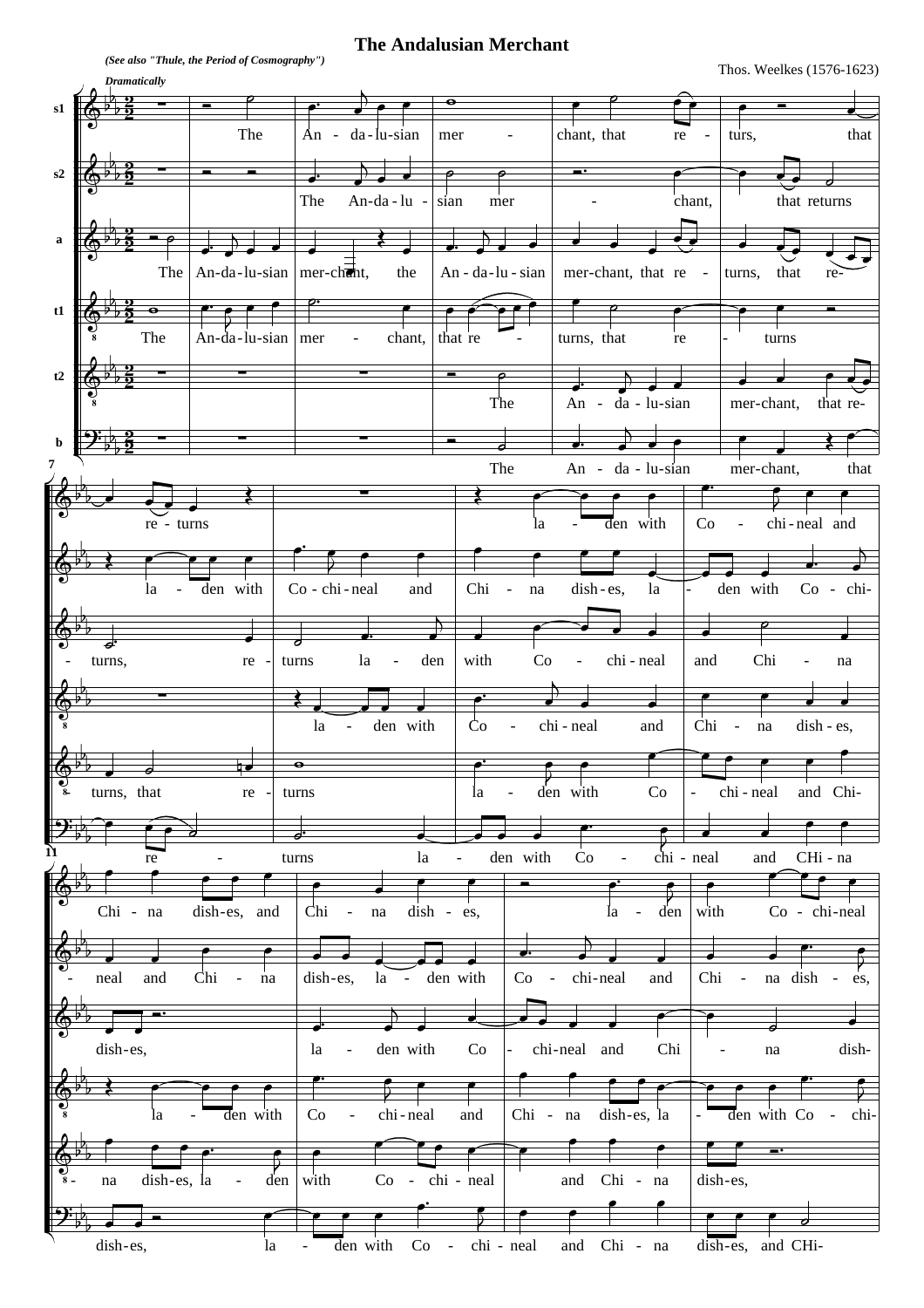## **The Andalusian Merchant**

*(See also "Thule, the Period of Cosmography")*

Thos. Weelkes (1576-1623)

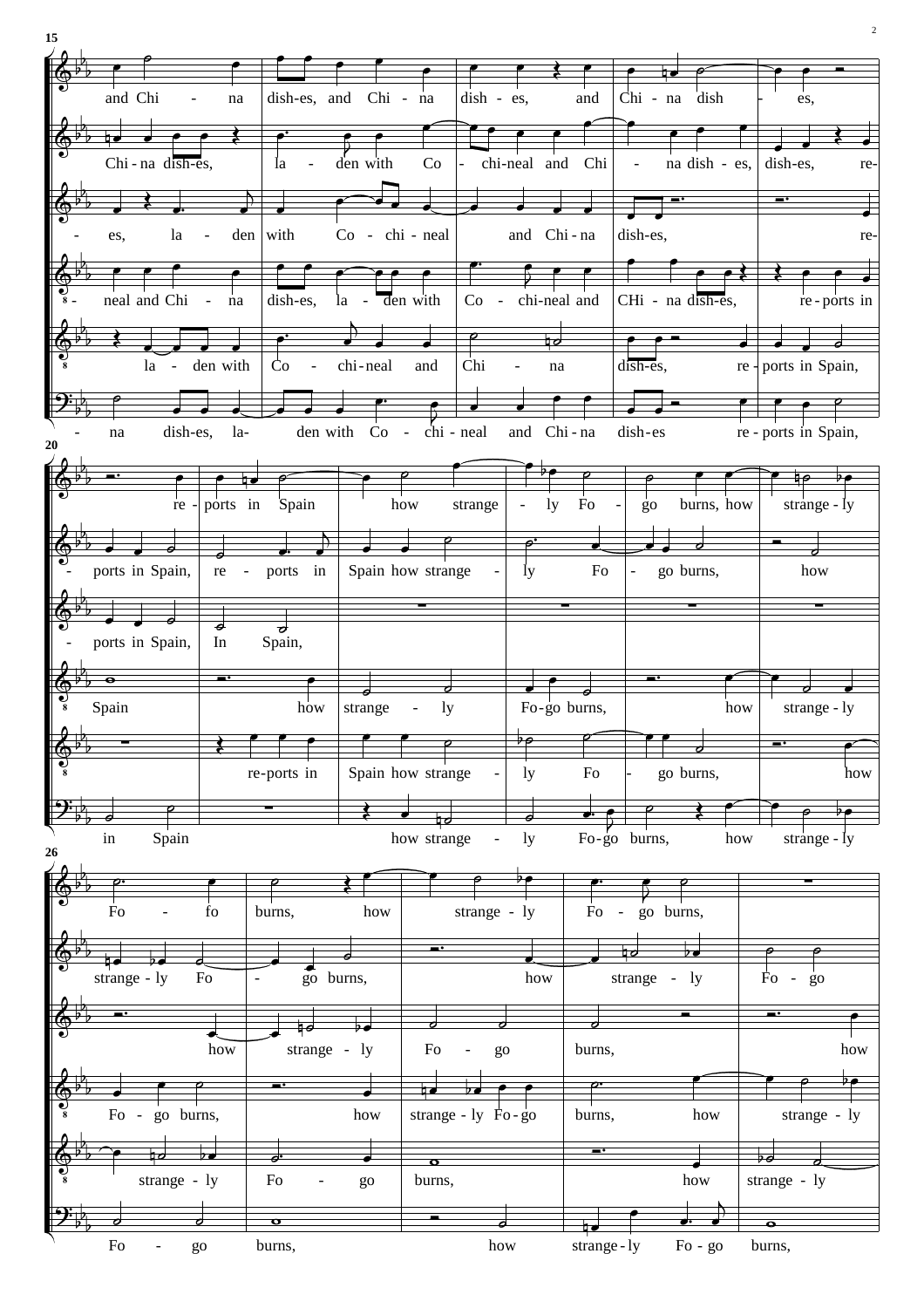2 and Chi - na  $\vert$  dish-es, and Chi - na  $\vert$  dish - es, and  $\vert$  Chi - na dish **15**  $\breve \Phi$ f f f k p lari<br>P  $\overline{\cdot}$ k k k k k n k k ek j k k m Chi - na- dish es,  $\begin{vmatrix} \n\end{vmatrix}$  a - den with Co  $\begin{vmatrix} \n\end{vmatrix}$  - chi-neal and Chi - na dish es, dish es, re  $\breve \Phi$ f f  $\epsilon$  expansion  $\epsilon$ den with k k k k k k  $\overline{\phantom{a}}$  $\epsilon$   $\epsilon$   $\epsilon$  $\overline{\phantom{a}}$ n  $\blacksquare$ es,  $\begin{vmatrix} a & - & \text{den} \end{vmatrix}$  with Co - chi - neal  $\begin{vmatrix} a & - & \text{den} \end{vmatrix}$  and Chi - na  $\begin{vmatrix} d & - & \text{den} \end{vmatrix}$  and  $\begin{vmatrix} a & - & \text{den} \end{vmatrix}$  and  $\begin{vmatrix} a & - & \text{den} \end{vmatrix}$  and  $\begin{vmatrix} a & - & \text{den} \end{vmatrix}$  and  $\begin{vmatrix} a & - & \text{den} \end{vmatrix}$  $\pmb{\phi}$ f f f k n  $\frac{1}{\epsilon}$  kpc  $\frac{1}{\epsilon}$ ' l<br>J k k k k k k k k  $\frac{1}{\sqrt{2}}$ mz march 1980 <mark>m</mark>z  $\exists$  $\frac{1}{\pi}$  and Chi -  $\frac{1}{\pi}$  dish-es,  $\frac{1}{\pi}$  den with Co - chi-neal and CHi - na dish-es,  $\frac{1}{\pi}$  re ports in  $\breve \Phi$  $\frac{1}{8}$ f f f k k k i<br>E  $\overline{\cdot}$ k k k k  $\cdot$  k ‡  $\overline{\cdot}$   $\overline{\cdot}$ k k k k n n k k ka kata di kacamatan ing kacamatan ing kacamatan di kacamatan di sebagi dan dikenali dan dikenali dan dikenali<br>Kacamatan ing kacamatan ing kacamatan di kacamatan di kacamatan di kacamatan di dalam di kacamatan di dalam di<br> la - den with  $\overrightarrow{Co}$  - chi-neal and Chi - na  $\overrightarrow{dish-es}$ , re ports in Spain,  $\breve \Phi$  $\frac{1}{8}$ f f  $\overrightarrow{f}$  $\overline{\mathcal{A}}$  ,  $\overline{\mathcal{A}}$ e.  $\overline{\phantom{0}}$ '  $\overline{\phantom{a}}$  $\overline{\rho}$  $e$  k k k  $\theta$  k k  $\theta$  k k  $\theta$  k k  $\theta$ na dish-es, la- den with Co - chi neal and Chi na dish-es re ports in Spain,  $\frac{1}{2}$ f f  $\overline{e}$  $\overline{\phantom{a}}$  $\bullet$  $\overrightarrow{chi - real}$ k k  $\overline{\cdot}$  $\Box$  $\overline{\phantom{a}}$   $\overline{\phantom{a}}$   $\overline{\phantom{a}}$   $\overline{\phantom{a}}$   $\overline{\phantom{a}}$   $\overline{\phantom{a}}$   $\overline{\phantom{a}}$   $\overline{\phantom{a}}$   $\overline{\phantom{a}}$   $\overline{\phantom{a}}$   $\overline{\phantom{a}}$   $\overline{\phantom{a}}$   $\overline{\phantom{a}}$   $\overline{\phantom{a}}$   $\overline{\phantom{a}}$   $\overline{\phantom{a}}$   $\overline{\phantom{a}}$   $\overline{\phantom{a}}$   $\overline{\$  $r = |ports in$  Spain  $|$  how strange - ly Fo - go burns, how strange ly **20**  $\breve \Phi$ f f  $\theta$  m  $\theta$  k  $\theta$  for  $\theta$   $\theta$   $\theta$  $\leftarrow$ fk j j k k k ej fk ports in Spain, re - ports in Spain how strange -  $\vert \psi \vert$  Fo  $\vert$ - go burns, how  $\breve \Phi$ f f  $\frac{1}{\alpha}$   $\frac{1}{\alpha}$   $\frac{1}{\alpha}$ j ka '  $k = k$  $\rho$   $\rho$  $\overline{\phantom{a}}$   $\overline{\phantom{a}}$   $\overline{\phantom{a}}$   $\overline{\phantom{a}}$   $\overline{\phantom{a}}$   $\overline{\phantom{a}}$ j ports in Spain, In Spain,  $\pmb{\phi}$ f f f  $\cdot$   $\cdot$  $\overline{\phantom{a}}$   $\overline{\phantom{a}}$ l l l l Spain  $h_0w$  strange - ly  $F_0$ -go-burns, how strange ly- $\frac{1}{8}$  $\frac{1}{8}$ f f  $\frac{1}{2}$  o  $\frac{1}{2}$  .  $\frac{1}{2}$  ,  $\frac{1}{2}$  ,  $\frac{1}{2}$ i<br>E j  $\overline{\phantom{a}}$   $\overline{\phantom{a}}$  $\overline{\phantom{a}}$ re-ports in Spain how strange - |  $\frac{1}{y}$  Fo  $\frac{1}{z}$  go burns,  $\frac{1}{z}$  how  $\breve \Phi$  $\frac{1}{8}$ f f f  $\overline{\phantom{a}}$  $\begin{array}{c|c|c|c|c} \hline \bullet & \bullet & \bullet \end{array}$  $\frac{1}{2}$  for  $\frac{1}{2}$  $\overline{\phantom{a}}$  and  $\overline{\phantom{a}}$ d<br>
in Spain how strange ly Fo-go-burns, how strange ly- $\frac{1}{2}$ f  $\frac{1}{2}$  $\sim$   $\sim$   $\sim$   $\sim$   $\sim$   $\sim$  $e$   $e$   $e$  $\circ$  }  $\overline{\phantom{a}}$  $\rho \rightarrow \rho$ Fo - fo  $\vert$  burns, how strange ly  $\vert$  Fo - go burns, **26**  $\breve \Phi$ f f f  $\rho$   $\rho$   $\rho$   $\chi$  $\bullet$  k k k  $\mathfrak f$  $\rho$   $\qquad$   $\qquad$   $\qquad$ strange ly Fo  $\overline{\phantom{a}}$  Fo  $\overline{\phantom{a}}$  go burns,  $\overline{\phantom{a}}$  how strange ly  $\overline{\phantom{a}}$  Fo  $\overline{\phantom{a}}$  go  $\breve \Phi$ f f f  $e \rightarrow e$   $e$  $\frac{1}{80}$  burns, j mz  $\overline{\phantom{a}}$  $e$  *je je p* how strange ly- Fo go - burns, how  $\breve \Phi$ f f  $\overline{b}$   $\overline{a}$  $\overline{\phantom{a}}$ ej fk j j j <u>m m</u> m Fo - go burns,  $\begin{vmatrix} \text{bow} & \text{w} & \text{w} & \text{w} & \text{w} & \text{w} & \text{w} & \text{w} & \text{w} & \text{w} & \text{w} & \text{w} & \text{w} & \text{w} & \text{w} & \text{w} & \text{w} & \text{w} & \text{w} & \text{w} & \text{w} & \text{w} & \text{w} & \text{w} & \text{w} &$  $\pmb{\phi}$  $\frac{1}{8}$ f f  $\overline{b}$  $\begin{array}{ccc} \bullet & \circ & \bullet \end{array}$  $\overline{\phantom{a}}$  to be p p  $\overline{\phantom{a}}$  $\overrightarrow{e}$   $\overrightarrow{e}$ strange ly- Fo go - burns, how strange ly- $\breve \Phi$  $\frac{1}{8}$ f f  $\begin{array}{|c|c|c|c|c|c|}\n\hline\n\text{A} & \text{B} & \text{C} & \text{A} & \text{B} & \text{C} \\
\hline\n\end{array}$ mz  $\frac{1}{\bullet}$  $\frac{1}{2}$ Fo - go burns, how strange ly Fo go burns,  $2^{\cdot}$ f f  $\begin{array}{|c|c|c|c|c|}\hline \hspace{1.5cm}& \circ & \hspace{1.5cm} & \bullet & \hspace{1.5cm} \\ \hline \end{array}$ l<br>E  $\overline{\phantom{a}}$ ' <u>i</u>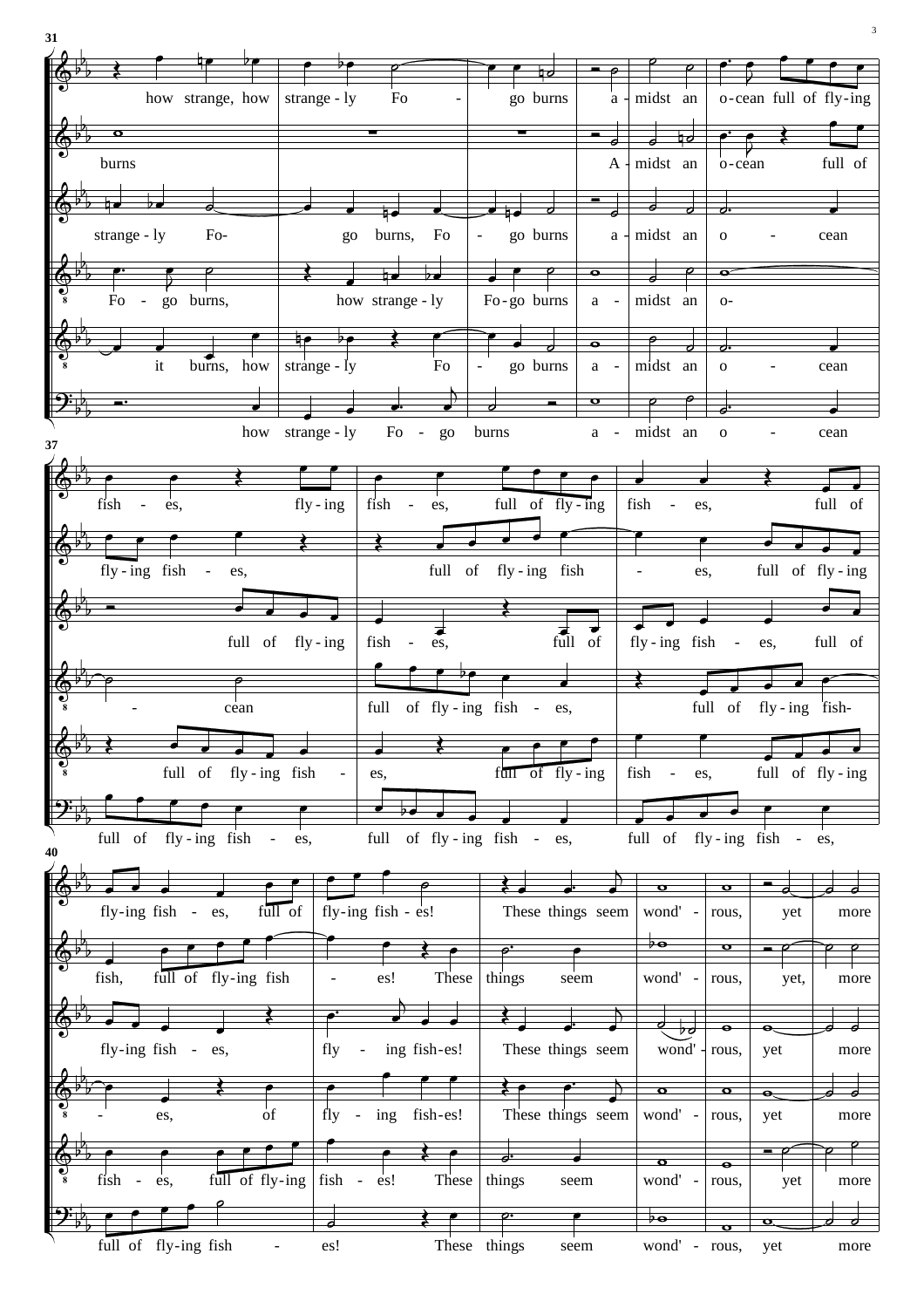3 how strange, how strange ly- Fo - go burns  $|$  a  $+$  midst an **31**  $\breve \Phi$ f f  $\overrightarrow{f}$  $\bullet$  k is the fact of the fact of the fact  $\bullet$  is the fact of the fact of the fact of the fact of the fact of the fact of the fact of the fact of the fact of the fact of the fact of the fact of the fact of the fact of th  $e^{\frac{1}{2}}$ p  $\circ$   $\circ$   $\circ$ o-cean full of fly-ing  $\cdot$   $\cdot$   $\cdot$   $\cdot$ burns and the cean - full of the cean - full of the burns of the cean - full of the cean - full of the cean - full of  $\breve \Phi$ f f f i l l m j j ej kz k o-cean  $\rightarrow$ س ر.<br>م strange ly Fo-  $\vert$  go burns, Fo  $\vert$  go burns a midst an o cean  $\pmb{\phi}$ f f  $\frac{1}{\sqrt{1+\frac{1}{\sqrt{1+\frac{1}{\sqrt{1+\frac{1}{\sqrt{1+\frac{1}{\sqrt{1+\frac{1}{\sqrt{1+\frac{1}{\sqrt{1+\frac{1}{\sqrt{1+\frac{1}{\sqrt{1+\frac{1}{\sqrt{1+\frac{1}{\sqrt{1+\frac{1}{\sqrt{1+\frac{1}{\sqrt{1+\frac{1}{\sqrt{1+\frac{1}{\sqrt{1+\frac{1}{\sqrt{1+\frac{1}{\sqrt{1+\frac{1}{\sqrt{1+\frac{1}{\sqrt{1+\frac{1}{\sqrt{1+\frac{1}{\sqrt{1+\frac{1}{\sqrt{1+\frac{1}{\sqrt{1+\frac{1}{\sqrt{1+\frac{1$ m j  $\circ$   $\circ$   $\circ$ how strange - ly  $\begin{vmatrix} F_0 - go & burns & a \\ -1 & -1 & ma \end{vmatrix}$  and  $\begin{vmatrix} 0 & -1 \\ 0 & -1 & -1 \\ 0 & -1 & -1 \end{vmatrix}$  $\breve \Phi$  $\frac{1}{8}$ f f f  $\overline{\mathbf{r}}$  k Fo - go burns,  $\circ$   $\qquad$   $\qquad$ d ke ke  $\bullet$   $\circ$   $\circ$   $\circ$  $\rho$  o it burns, how strange ly- Fo go - burns a midst - an o cean - k  $\breve \Phi$  $\frac{1}{8}$ f f f  $\overline{\phantom{a}}$  $k$  extends to  $k$  and  $k$  $\frac{1}{\sqrt{2}}$  $\frac{1}{\rho}$  $\circ$   $\circ$   $\bullet$ how strange ly Fo - go burns a - midst an o - cean  $\frac{1}{2}$ f f mz  $\frac{1}{\bullet}$  $\overline{\phantom{a}}$  $\frac{1}{\epsilon}$  kiz k $\frac{1}{\epsilon}$ '  $\frac{1}{\sqrt{1-\frac{1}{\sqrt{1-\frac{1}{\sqrt{1-\frac{1}{\sqrt{1-\frac{1}{\sqrt{1-\frac{1}{\sqrt{1-\frac{1}{\sqrt{1-\frac{1}{\sqrt{1-\frac{1}{\sqrt{1-\frac{1}{\sqrt{1-\frac{1}{\sqrt{1-\frac{1}{\sqrt{1-\frac{1}{\sqrt{1-\frac{1}{\sqrt{1-\frac{1}{\sqrt{1-\frac{1}{\sqrt{1-\frac{1}{\sqrt{1-\frac{1}{\sqrt{1-\frac{1}{\sqrt{1-\frac{1}{\sqrt{1-\frac{1}{\sqrt{1-\frac{1}{\sqrt{1-\frac{1}{\sqrt{1-\frac{1}{\sqrt{1-\frac{1$  $\phi$   $\qquad$ fly-ing fish - es, full of fly-ing fish - es, full of **37**  $\breve \Phi$ f f  $\sqrt{r}$  f  $\frac{1}{x}$  $\overline{\phantom{0}}$  $\overline{\cdot}$  $k \rightarrow k \rightarrow k$  $\sqrt{\frac{1}{\sqrt{2}}}$  $fly-ing fish - es$ ,  $full of fly-ing fish - es$ ,  $full offA$ ,  $flow of the cells$   $es$ ,  $full of fly-ing$  $\breve \Phi$ f f f  $\cdot$   $\cdot$   $\cdot$   $\cdot$ n n k k k k k k  $\begin{array}{ccc} \cdot & \cdot & \cdot \\ \cdot & \cdot & \cdot \\ \cdot & \cdot & \cdot \end{array}$ full of fly-ing  $\int$  fish - es,  $\int$  full of  $\int$  fly-ing- fish - es, full of  $\pmb{\phi}$ f f f m k k k k k fish -  $\overrightarrow{es}$ , n k k k k k k  $\Box$  $\begin{array}{ccc} \text{cean} \\ \text{full} \\ \text{of} \\ \text{fly- ing } \\ \text{fish} \\ \text{es} \\ \end{array}$   $\begin{array}{ccc} \text{full} \\ \text{full} \\ \text{of} \\ \text{fly- ing } \\ \text{fish} \\ \end{array}$  $\pmb{\phi}$  $\frac{1}{8}$ f f  $\delta$   $\theta$  $\bullet$   $\bullet$   $\bullet$   $\bullet$  $\frac{1}{\epsilon}$  $k \rightarrow k$ full of fly-ing fish -  $\vert$  es,  $\vert$  full of fly-ing fish - es, full of fly-ing  $\breve \Phi$  $\frac{1}{8}$ f f  $\overline{\phantom{a}}$  ,  $\overline{\phantom{a}}$  ,  $\overline{\phantom{a}}$ n k k k k k k  $\overline{\cdot}$  . . . full of fly-ing- fish - es, - full of fly-ing- fish - es, - full of fly-ing- fish - es,  $\frac{1}{2}$ f f <sup>k</sup> <sup>k</sup> <sup>k</sup> <sup>k</sup> <sup>k</sup> <sup>k</sup> <sup>k</sup> fk <sup>k</sup> <sup>k</sup> <sup>k</sup> <sup>k</sup> <sup>k</sup> <sup>k</sup> <sup>k</sup> <sup>k</sup> <sup>k</sup> <sup>k</sup> fly-ing- fish - es, full of  $fly-ingfish - es!$  These things seem wond' - rous, yet more **40**  $\breve \Phi$ f f  $\overline{\phantom{a}}$ k k k k k  $\circ$  ko  $\circ$   $\circ$  $\begin{array}{|c|c|c|c|c|}\n\hline\n\circ & \circ & \bullet & \bullet & \bullet\n\end{array}$ fish, full of fly-ing- fish  $|$  - es! These things seem wond' rous, vet, more  $\breve \Phi$ f f f  $\overline{\phantom{a}}$  $\overrightarrow{e}$   $\overrightarrow{e}$   $\overrightarrow{e}$   $\overrightarrow{e}$ **k**  $\zeta$  e c e  $\frac{1}{\sqrt{1-\frac{1}{\sqrt{1-\rho^2}}} \cdot \frac{1}{\sqrt{1-\rho^2}}}$ fly ing- fish es, - fly ing - fish es!- These things seem wond' rous, - yet more k k k  $\breve \Phi$ f f  $\begin{array}{|c|c|c|c|c|}\hline \quad \bullet & \bullet & \bullet \end{array}$  $\frac{1}{2}$  $\overline{\phantom{0}}$  $\overline{P}$  $\overline{\phantom{a}}$ n  $\frac{1}{\epsilon}$   $\frac{1}{\epsilon}$  $\overline{b}$ j  $\frac{1}{2}$  i  $\frac{1}{2}$  i  $\frac{1}{2}$  i  $\frac{1}{2}$  i  $\frac{1}{2}$  i  $\frac{1}{2}$  i  $\frac{1}{2}$  i  $\frac{1}{2}$  i  $\frac{1}{2}$  i  $\frac{1}{2}$  i  $\frac{1}{2}$  i  $\frac{1}{2}$  i  $\frac{1}{2}$  i  $\frac{1}{2}$  i  $\frac{1}{2}$  i  $\frac{1}{2}$  i  $\frac{1}{2}$  i  $\frac{1}{2}$  i  $\frac{1$  $\overline{e}$ ,  $\overline{f}$  of  $\overline{f}$  fig.  $\overline{f}$  ing fish-es! These things seem wond' - rous, yet more  $\pmb{\phi}$  $\frac{1}{8}$ f f  $\overline{r}$  $\exists$  $\frac{1}{2}$   $\frac{1}{2}$  $\leftarrow$  $\overline{\phantom{a}}$  $\begin{array}{|c|c|c|c|c|}\hline \ \circ & \circ & \circ & \circ \ \end{array}$ full of fly-ing- fish - es! These things seem wond' - rous, vet more  $\breve \Phi$  $\frac{1}{8}$ f f for the contract of  $\begin{pmatrix} x \\ y \\ z \end{pmatrix}$ k n k jz k i i  $\overline{\phantom{a}}$ p full of fly-ing- fish - es! These things seem wond'-rous, yet more  $2^{\cdot}$ f f  $\begin{array}{ccc} \text{sn} & -\text{es}, & \text{ra} \end{array}$ j<br>0  $\lambda$  e e bo l<br>o  $\circ$  j  $\circ$